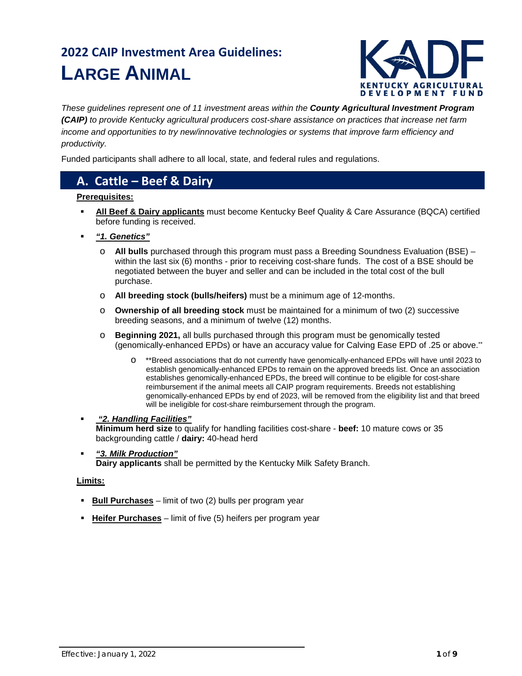# **2022 CAIP Investment Area Guidelines: LARGE ANIMAL**



*These guidelines represent one of 11 investment areas within the County Agricultural Investment Program (CAIP) to provide Kentucky agricultural producers cost-share assistance on practices that increase net farm income and opportunities to try new/innovative technologies or systems that improve farm efficiency and productivity.*

Funded participants shall adhere to all local, state, and federal rules and regulations.

### **A. Cattle – Beef & Dairy**

#### **Prerequisites:**

- **All Beef & Dairy applicants** must become Kentucky Beef Quality & Care Assurance (BQCA) certified before funding is received.
- *"1. Genetics"*
	- o **All bulls** purchased through this program must pass a Breeding Soundness Evaluation (BSE) within the last six (6) months - prior to receiving cost-share funds. The cost of a BSE should be negotiated between the buyer and seller and can be included in the total cost of the bull purchase.
	- o **All breeding stock (bulls/heifers)** must be a minimum age of 12-months.
	- o **Ownership of all breeding stock** must be maintained for a minimum of two (2) successive breeding seasons, and a minimum of twelve (12) months.
	- **Beginning 2021, all bulls purchased through this program must be genomically tested** (genomically-enhanced EPDs) or have an accuracy value for Calving Ease EPD of .25 or above.\*\*
		- \*\*Breed associations that do not currently have genomically-enhanced EPDs will have until 2023 to establish genomically-enhanced EPDs to remain on the approved breeds list. Once an association establishes genomically-enhanced EPDs, the breed will continue to be eligible for cost-share reimbursement if the animal meets all CAIP program requirements. Breeds not establishing genomically-enhanced EPDs by end of 2023, will be removed from the eligibility list and that breed will be ineligible for cost-share reimbursement through the program.
- *"2. Handling Facilities"* **Minimum herd size** to qualify for handling facilities cost-share - **beef:** 10 mature cows or 35 backgrounding cattle / **dairy:** 40-head herd
- *"3. Milk Production"* **Dairy applicants** shall be permitted by the Kentucky Milk Safety Branch.

#### **Limits:**

- **Bull Purchases** limit of two (2) bulls per program year
- **Heifer Purchases** limit of five (5) heifers per program year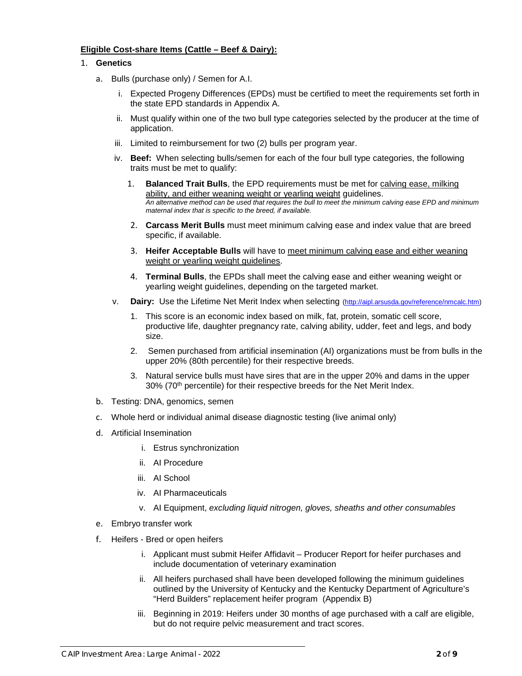#### **Eligible Cost-share Items (Cattle – Beef & Dairy):**

#### 1. **Genetics**

- a. Bulls (purchase only) / Semen for A.I.
	- i. Expected Progeny Differences (EPDs) must be certified to meet the requirements set forth in the state EPD standards in Appendix A.
	- ii. Must qualify within one of the two bull type categories selected by the producer at the time of application.
	- iii. Limited to reimbursement for two (2) bulls per program year.
	- iv. **Beef:** When selecting bulls/semen for each of the four bull type categories, the following traits must be met to qualify:
		- 1. **Balanced Trait Bulls**, the EPD requirements must be met for calving ease, milking ability, and either weaning weight or yearling weight guidelines. *An alternative method can be used that requires the bull to meet the minimum calving ease EPD and minimum maternal index that is specific to the breed, if available.*
		- 2. **Carcass Merit Bulls** must meet minimum calving ease and index value that are breed specific, if available.
		- 3. **Heifer Acceptable Bulls** will have to meet minimum calving ease and either weaning weight or yearling weight guidelines.
		- 4. **Terminal Bulls**, the EPDs shall meet the calving ease and either weaning weight or yearling weight guidelines, depending on the targeted market.
	- v. **Dairy:** Use the Lifetime Net Merit Index when selecting [\(http://aipl.arsusda.gov/reference/nmcalc.htm\)](http://aipl.arsusda.gov/reference/nmcalc.htm)
		- 1. This score is an economic index based on milk, fat, protein, somatic cell score, productive life, daughter pregnancy rate, calving ability, udder, feet and legs, and body size.
		- 2. Semen purchased from artificial insemination (AI) organizations must be from bulls in the upper 20% (80th percentile) for their respective breeds.
		- 3. Natural service bulls must have sires that are in the upper 20% and dams in the upper 30% (70<sup>th</sup> percentile) for their respective breeds for the Net Merit Index.
- b. Testing: DNA, genomics, semen
- c. Whole herd or individual animal disease diagnostic testing (live animal only)
- d. Artificial Insemination
	- i. Estrus synchronization
	- ii. AI Procedure
	- iii. AI School
	- iv. AI Pharmaceuticals
	- v. AI Equipment, *excluding liquid nitrogen, gloves, sheaths and other consumables*
- e. Embryo transfer work
- f. Heifers Bred or open heifers
	- i. Applicant must submit Heifer Affidavit Producer Report for heifer purchases and include documentation of veterinary examination
	- ii. All heifers purchased shall have been developed following the minimum guidelines outlined by the University of Kentucky and the Kentucky Department of Agriculture's "Herd Builders" replacement heifer program (Appendix B)
	- iii. Beginning in 2019: Heifers under 30 months of age purchased with a calf are eligible, but do not require pelvic measurement and tract scores.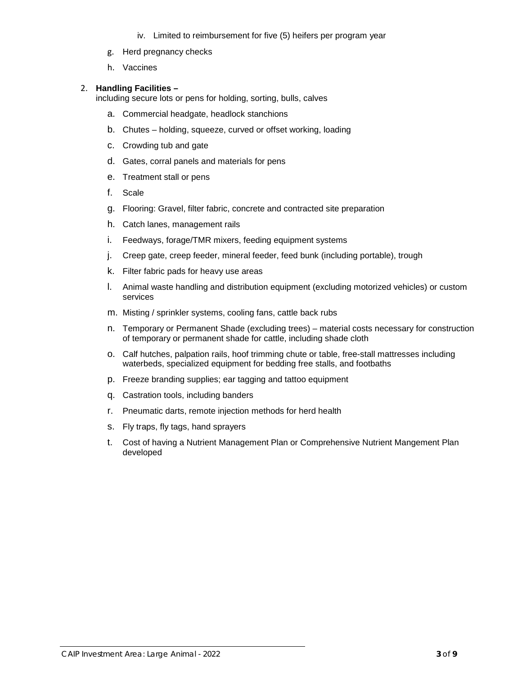- iv. Limited to reimbursement for five (5) heifers per program year
- g. Herd pregnancy checks
- h. Vaccines

#### 2. **Handling Facilities –**

including secure lots or pens for holding, sorting, bulls, calves

- a. Commercial headgate, headlock stanchions
- b. Chutes holding, squeeze, curved or offset working, loading
- c. Crowding tub and gate
- d. Gates, corral panels and materials for pens
- e. Treatment stall or pens
- f. Scale
- g. Flooring: Gravel, filter fabric, concrete and contracted site preparation
- h. Catch lanes, management rails
- i. Feedways, forage/TMR mixers, feeding equipment systems
- j. Creep gate, creep feeder, mineral feeder, feed bunk (including portable), trough
- k. Filter fabric pads for heavy use areas
- l. Animal waste handling and distribution equipment (excluding motorized vehicles) or custom services
- m. Misting / sprinkler systems, cooling fans, cattle back rubs
- n. Temporary or Permanent Shade (excluding trees) material costs necessary for construction of temporary or permanent shade for cattle, including shade cloth
- o. Calf hutches, palpation rails, hoof trimming chute or table, free-stall mattresses including waterbeds, specialized equipment for bedding free stalls, and footbaths
- p. Freeze branding supplies; ear tagging and tattoo equipment
- q. Castration tools, including banders
- r. Pneumatic darts, remote injection methods for herd health
- s. Fly traps, fly tags, hand sprayers
- t. Cost of having a Nutrient Management Plan or Comprehensive Nutrient Mangement Plan developed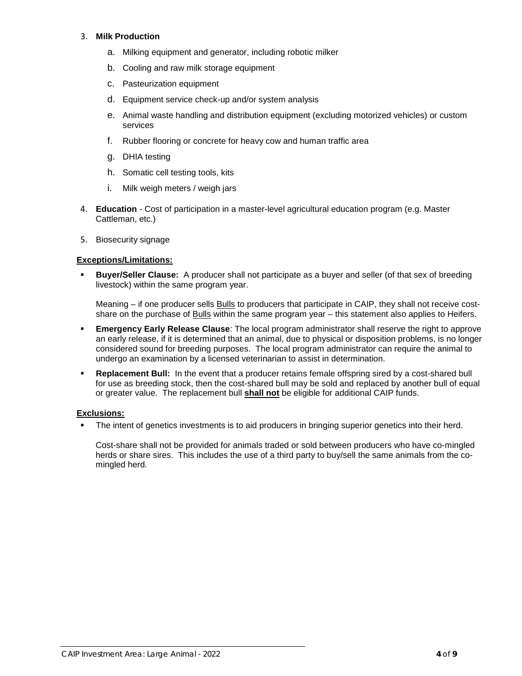#### 3. **Milk Production**

- a. Milking equipment and generator, including robotic milker
- b. Cooling and raw milk storage equipment
- c. Pasteurization equipment
- d. Equipment service check-up and/or system analysis
- e. Animal waste handling and distribution equipment (excluding motorized vehicles) or custom services
- f. Rubber flooring or concrete for heavy cow and human traffic area
- g. DHIA testing
- h. Somatic cell testing tools, kits
- i. Milk weigh meters / weigh jars
- 4. **Education**  Cost of participation in a master-level agricultural education program (e.g. Master Cattleman, etc.)
- 5. Biosecurity signage

#### **Exceptions/Limitations:**

 **Buyer/Seller Clause:** A producer shall not participate as a buyer and seller (of that sex of breeding livestock) within the same program year.

Meaning – if one producer sells Bulls to producers that participate in CAIP, they shall not receive costshare on the purchase of Bulls within the same program year – this statement also applies to Heifers.

- **Emergency Early Release Clause**: The local program administrator shall reserve the right to approve an early release, if it is determined that an animal, due to physical or disposition problems, is no longer considered sound for breeding purposes. The local program administrator can require the animal to undergo an examination by a licensed veterinarian to assist in determination.
- **Replacement Bull:** In the event that a producer retains female offspring sired by a cost-shared bull for use as breeding stock, then the cost-shared bull may be sold and replaced by another bull of equal or greater value. The replacement bull **shall not** be eligible for additional CAIP funds.

#### **Exclusions:**

The intent of genetics investments is to aid producers in bringing superior genetics into their herd.

Cost-share shall not be provided for animals traded or sold between producers who have co-mingled herds or share sires. This includes the use of a third party to buy/sell the same animals from the comingled herd.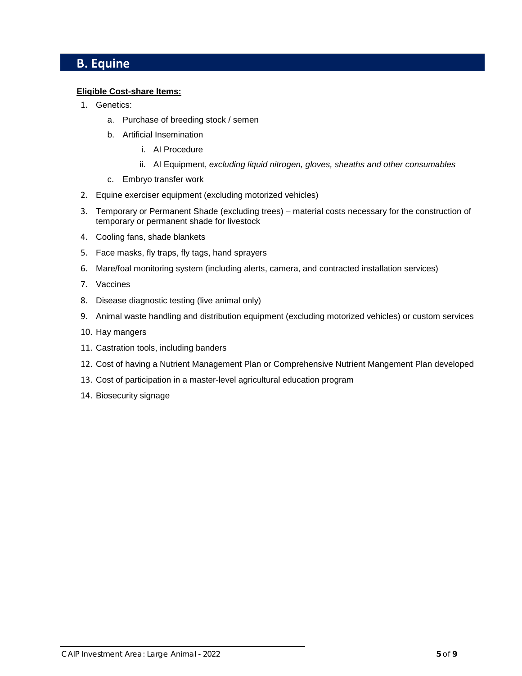### **B. Equine**

#### **Eligible Cost-share Items:**

- 1. Genetics:
	- a. Purchase of breeding stock / semen
	- b. Artificial Insemination
		- i. AI Procedure
		- ii. AI Equipment, *excluding liquid nitrogen, gloves, sheaths and other consumables*
	- c. Embryo transfer work
- 2. Equine exerciser equipment (excluding motorized vehicles)
- 3. Temporary or Permanent Shade (excluding trees) material costs necessary for the construction of temporary or permanent shade for livestock
- 4. Cooling fans, shade blankets
- 5. Face masks, fly traps, fly tags, hand sprayers
- 6. Mare/foal monitoring system (including alerts, camera, and contracted installation services)
- 7. Vaccines
- 8. Disease diagnostic testing (live animal only)
- 9. Animal waste handling and distribution equipment (excluding motorized vehicles) or custom services
- 10. Hay mangers
- 11. Castration tools, including banders
- 12. Cost of having a Nutrient Management Plan or Comprehensive Nutrient Mangement Plan developed
- 13. Cost of participation in a master-level agricultural education program
- 14. Biosecurity signage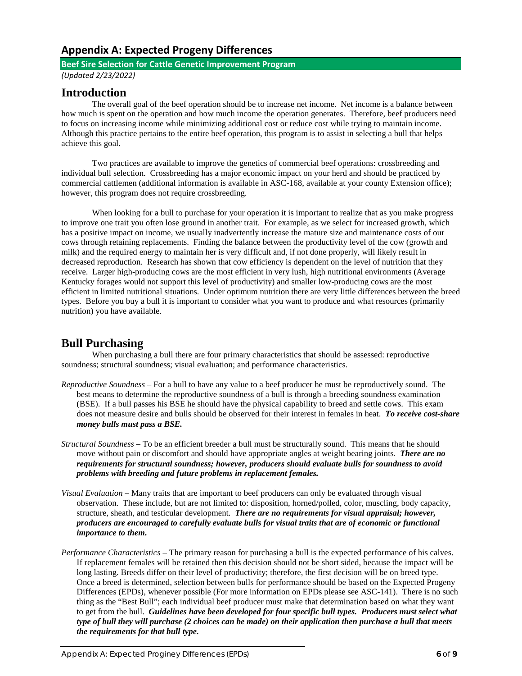### **Appendix A: Expected Progeny Differences**

#### **Beef Sire Selection for Cattle Genetic Improvement Program**

*(Updated 2/23/2022)*

### **Introduction**

The overall goal of the beef operation should be to increase net income. Net income is a balance between how much is spent on the operation and how much income the operation generates. Therefore, beef producers need to focus on increasing income while minimizing additional cost or reduce cost while trying to maintain income. Although this practice pertains to the entire beef operation, this program is to assist in selecting a bull that helps achieve this goal.

Two practices are available to improve the genetics of commercial beef operations: crossbreeding and individual bull selection. Crossbreeding has a major economic impact on your herd and should be practiced by commercial cattlemen (additional information is available in ASC-168, available at your county Extension office); however, this program does not require crossbreeding.

When looking for a bull to purchase for your operation it is important to realize that as you make progress to improve one trait you often lose ground in another trait. For example, as we select for increased growth, which has a positive impact on income, we usually inadvertently increase the mature size and maintenance costs of our cows through retaining replacements. Finding the balance between the productivity level of the cow (growth and milk) and the required energy to maintain her is very difficult and, if not done properly, will likely result in decreased reproduction. Research has shown that cow efficiency is dependent on the level of nutrition that they receive. Larger high-producing cows are the most efficient in very lush, high nutritional environments (Average Kentucky forages would not support this level of productivity) and smaller low-producing cows are the most efficient in limited nutritional situations. Under optimum nutrition there are very little differences between the breed types. Before you buy a bull it is important to consider what you want to produce and what resources (primarily nutrition) you have available.

### **Bull Purchasing**

When purchasing a bull there are four primary characteristics that should be assessed: reproductive soundness; structural soundness; visual evaluation; and performance characteristics.

- *Reproductive Soundness*  For a bull to have any value to a beef producer he must be reproductively sound. The best means to determine the reproductive soundness of a bull is through a breeding soundness examination (BSE). If a bull passes his BSE he should have the physical capability to breed and settle cows. This exam does not measure desire and bulls should be observed for their interest in females in heat. *To receive cost-share money bulls must pass a BSE.*
- *Structural Soundness* To be an efficient breeder a bull must be structurally sound. This means that he should move without pain or discomfort and should have appropriate angles at weight bearing joints. *There are no requirements for structural soundness; however, producers should evaluate bulls for soundness to avoid problems with breeding and future problems in replacement females.*
- *Visual Evaluation* Many traits that are important to beef producers can only be evaluated through visual observation. These include, but are not limited to: disposition, horned/polled, color, muscling, body capacity, structure, sheath, and testicular development. *There are no requirements for visual appraisal; however, producers are encouraged to carefully evaluate bulls for visual traits that are of economic or functional importance to them.*
- *Performance Characteristics* The primary reason for purchasing a bull is the expected performance of his calves. If replacement females will be retained then this decision should not be short sided, because the impact will be long lasting. Breeds differ on their level of productivity; therefore, the first decision will be on breed type. Once a breed is determined, selection between bulls for performance should be based on the Expected Progeny Differences (EPDs), whenever possible (For more information on EPDs please see ASC-141). There is no such thing as the "Best Bull"; each individual beef producer must make that determination based on what they want to get from the bull. *Guidelines have been developed for four specific bull types. Producers must select what type of bull they will purchase (2 choices can be made) on their application then purchase a bull that meets the requirements for that bull type.*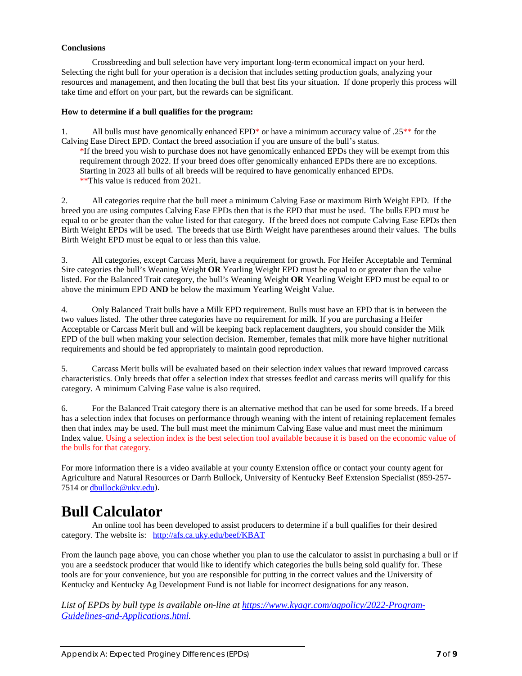#### **Conclusions**

Crossbreeding and bull selection have very important long-term economical impact on your herd. Selecting the right bull for your operation is a decision that includes setting production goals, analyzing your resources and management, and then locating the bull that best fits your situation. If done properly this process will take time and effort on your part, but the rewards can be significant.

#### **How to determine if a bull qualifies for the program:**

1. All bulls must have genomically enhanced EPD\* or have a minimum accuracy value of .25\*\* for the Calving Ease Direct EPD. Contact the breed association if you are unsure of the bull's status.

\*If the breed you wish to purchase does not have genomically enhanced EPDs they will be exempt from this requirement through 2022. If your breed does offer genomically enhanced EPDs there are no exceptions. Starting in 2023 all bulls of all breeds will be required to have genomically enhanced EPDs. \*\*This value is reduced from 2021.

2. All categories require that the bull meet a minimum Calving Ease or maximum Birth Weight EPD. If the breed you are using computes Calving Ease EPDs then that is the EPD that must be used. The bulls EPD must be equal to or be greater than the value listed for that category. If the breed does not compute Calving Ease EPDs then Birth Weight EPDs will be used. The breeds that use Birth Weight have parentheses around their values. The bulls Birth Weight EPD must be equal to or less than this value.

3. All categories, except Carcass Merit, have a requirement for growth. For Heifer Acceptable and Terminal Sire categories the bull's Weaning Weight **OR** Yearling Weight EPD must be equal to or greater than the value listed. For the Balanced Trait category, the bull's Weaning Weight **OR** Yearling Weight EPD must be equal to or above the minimum EPD **AND** be below the maximum Yearling Weight Value.

4. Only Balanced Trait bulls have a Milk EPD requirement. Bulls must have an EPD that is in between the two values listed. The other three categories have no requirement for milk. If you are purchasing a Heifer Acceptable or Carcass Merit bull and will be keeping back replacement daughters, you should consider the Milk EPD of the bull when making your selection decision. Remember, females that milk more have higher nutritional requirements and should be fed appropriately to maintain good reproduction.

5. Carcass Merit bulls will be evaluated based on their selection index values that reward improved carcass characteristics. Only breeds that offer a selection index that stresses feedlot and carcass merits will qualify for this category. A minimum Calving Ease value is also required.

6. For the Balanced Trait category there is an alternative method that can be used for some breeds. If a breed has a selection index that focuses on performance through weaning with the intent of retaining replacement females then that index may be used. The bull must meet the minimum Calving Ease value and must meet the minimum Index value. Using a selection index is the best selection tool available because it is based on the economic value of the bulls for that category.

For more information there is a video available at your county Extension office or contact your county agent for Agriculture and Natural Resources or Darrh Bullock, University of Kentucky Beef Extension Specialist (859-257 7514 or [dbullock@uky.edu\)](mailto:dbullock@uky.edu).

## **Bull Calculator**

An online tool has been developed to assist producers to determine if a bull qualifies for their desired category. The website is: <http://afs.ca.uky.edu/beef/KBAT>

From the launch page above, you can chose whether you plan to use the calculator to assist in purchasing a bull or if you are a seedstock producer that would like to identify which categories the bulls being sold qualify for. These tools are for your convenience, but you are responsible for putting in the correct values and the University of Kentucky and Kentucky Ag Development Fund is not liable for incorrect designations for any reason.

List of EPDs by bull type is available on-line at [https://www.kyagr.com/agpolicy/2022-Program-](https://www.kyagr.com/agpolicy/2022-Program-Guidelines-and-Applications.html)*[Guidelines-and-Applications.html.](https://www.kyagr.com/agpolicy/2022-Program-Guidelines-and-Applications.html)*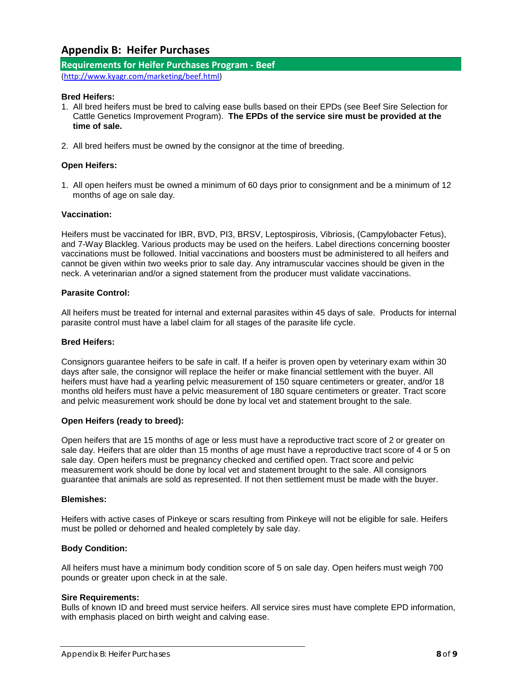### **Appendix B: Heifer Purchases**

#### **Requirements for Heifer Purchases Program - Beef**

[\(http://www.kyagr.com/marketing/beef.html\)](http://www.kyagr.com/marketing/beef.html)

#### **Bred Heifers:**

- 1. All bred heifers must be bred to calving ease bulls based on their EPDs (see Beef Sire Selection for Cattle Genetics Improvement Program). **The EPDs of the service sire must be provided at the time of sale.**
- 2. All bred heifers must be owned by the consignor at the time of breeding.

#### **Open Heifers:**

1. All open heifers must be owned a minimum of 60 days prior to consignment and be a minimum of 12 months of age on sale day.

#### **Vaccination:**

Heifers must be vaccinated for IBR, BVD, PI3, BRSV, Leptospirosis, Vibriosis, (Campylobacter Fetus), and 7-Way Blackleg. Various products may be used on the heifers. Label directions concerning booster vaccinations must be followed. Initial vaccinations and boosters must be administered to all heifers and cannot be given within two weeks prior to sale day. Any intramuscular vaccines should be given in the neck. A veterinarian and/or a signed statement from the producer must validate vaccinations.

#### **Parasite Control:**

All heifers must be treated for internal and external parasites within 45 days of sale. Products for internal parasite control must have a label claim for all stages of the parasite life cycle.

#### **Bred Heifers:**

Consignors guarantee heifers to be safe in calf. If a heifer is proven open by veterinary exam within 30 days after sale, the consignor will replace the heifer or make financial settlement with the buyer. All heifers must have had a yearling pelvic measurement of 150 square centimeters or greater, and/or 18 months old heifers must have a pelvic measurement of 180 square centimeters or greater. Tract score and pelvic measurement work should be done by local vet and statement brought to the sale.

#### **Open Heifers (ready to breed):**

Open heifers that are 15 months of age or less must have a reproductive tract score of 2 or greater on sale day. Heifers that are older than 15 months of age must have a reproductive tract score of 4 or 5 on sale day. Open heifers must be pregnancy checked and certified open. Tract score and pelvic measurement work should be done by local vet and statement brought to the sale. All consignors guarantee that animals are sold as represented. If not then settlement must be made with the buyer.

#### **Blemishes:**

Heifers with active cases of Pinkeye or scars resulting from Pinkeye will not be eligible for sale. Heifers must be polled or dehorned and healed completely by sale day.

#### **Body Condition:**

All heifers must have a minimum body condition score of 5 on sale day. Open heifers must weigh 700 pounds or greater upon check in at the sale.

#### **Sire Requirements:**

Bulls of known ID and breed must service heifers. All service sires must have complete EPD information, with emphasis placed on birth weight and calving ease.